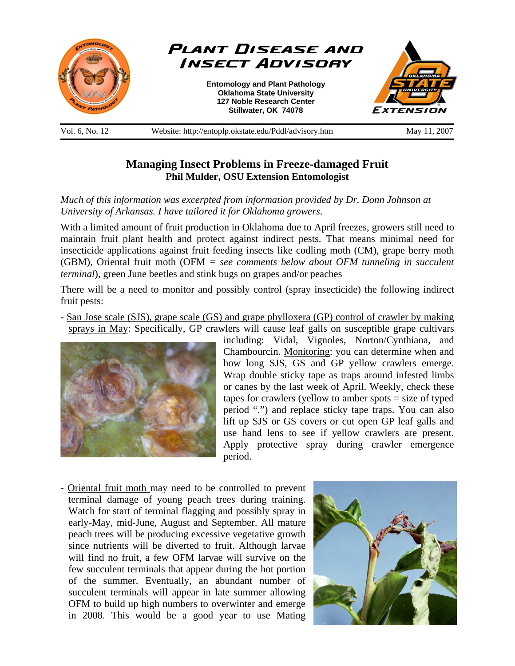

**Managing Insect Problems in Freeze-damaged Fruit Phil Mulder, OSU Extension Entomologist** 

*Much of this information was excerpted from information provided by Dr. Donn Johnson at University of Arkansas. I have tailored it for Oklahoma growers*.

With a limited amount of fruit production in Oklahoma due to April freezes, growers still need to maintain fruit plant health and protect against indirect pests. That means minimal need for insecticide applications against fruit feeding insects like codling moth (CM), grape berry moth (GBM), Oriental fruit moth (OFM *= see comments below about OFM tunneling in succulent terminal*), green June beetles and stink bugs on grapes and/or peaches

There will be a need to monitor and possibly control (spray insecticide) the following indirect fruit pests:

- San Jose scale (SJS), grape scale (GS) and grape phylloxera (GP) control of crawler by making sprays in May: Specifically, GP crawlers will cause leaf galls on susceptible grape cultivars



including: Vidal, Vignoles, Norton/Cynthiana, and Chambourcin. Monitoring: you can determine when and how long SJS, GS and GP yellow crawlers emerge. Wrap double sticky tape as traps around infested limbs or canes by the last week of April. Weekly, check these tapes for crawlers (yellow to amber spots = size of typed period ".") and replace sticky tape traps. You can also lift up SJS or GS covers or cut open GP leaf galls and use hand lens to see if yellow crawlers are present. Apply protective spray during crawler emergence period.

- Oriental fruit moth may need to be controlled to prevent terminal damage of young peach trees during training. Watch for start of terminal flagging and possibly spray in early-May, mid-June, August and September. All mature peach trees will be producing excessive vegetative growth since nutrients will be diverted to fruit. Although larvae will find no fruit, a few OFM larvae will survive on the few succulent terminals that appear during the hot portion of the summer. Eventually, an abundant number of succulent terminals will appear in late summer allowing OFM to build up high numbers to overwinter and emerge in 2008. This would be a good year to use Mating

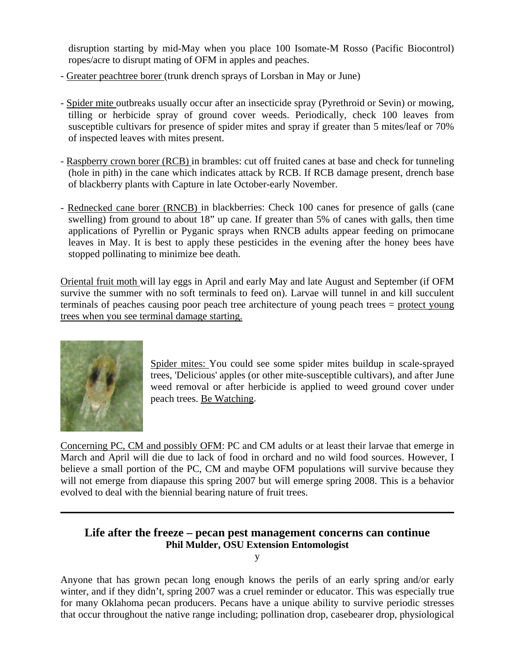disruption starting by mid-May when you place 100 Isomate-M Rosso (Pacific Biocontrol) ropes/acre to disrupt mating of OFM in apples and peaches.

- Greater peachtree borer (trunk drench sprays of Lorsban in May or June)
- Spider mite outbreaks usually occur after an insecticide spray (Pyrethroid or Sevin) or mowing, tilling or herbicide spray of ground cover weeds. Periodically, check 100 leaves from susceptible cultivars for presence of spider mites and spray if greater than 5 mites/leaf or 70% of inspected leaves with mites present.
- Raspberry crown borer (RCB) in brambles: cut off fruited canes at base and check for tunneling (hole in pith) in the cane which indicates attack by RCB. If RCB damage present, drench base of blackberry plants with Capture in late October-early November.
- Rednecked cane borer (RNCB) in blackberries: Check 100 canes for presence of galls (cane swelling) from ground to about 18" up cane. If greater than 5% of canes with galls, then time applications of Pyrellin or Pyganic sprays when RNCB adults appear feeding on primocane leaves in May. It is best to apply these pesticides in the evening after the honey bees have stopped pollinating to minimize bee death.

Oriental fruit moth will lay eggs in April and early May and late August and September (if OFM survive the summer with no soft terminals to feed on). Larvae will tunnel in and kill succulent terminals of peaches causing poor peach tree architecture of young peach trees = protect young trees when you see terminal damage starting.



Spider mites: You could see some spider mites buildup in scale-sprayed trees, 'Delicious' apples (or other mite-susceptible cultivars), and after June weed removal or after herbicide is applied to weed ground cover under peach trees. Be Watching.

Concerning PC, CM and possibly OFM: PC and CM adults or at least their larvae that emerge in March and April will die due to lack of food in orchard and no wild food sources. However, I believe a small portion of the PC, CM and maybe OFM populations will survive because they will not emerge from diapause this spring 2007 but will emerge spring 2008. This is a behavior evolved to deal with the biennial bearing nature of fruit trees.

## **Life after the freeze – pecan pest management concerns can continue Phil Mulder, OSU Extension Entomologist**

\_\_\_\_\_\_\_\_\_\_\_\_\_\_\_\_\_\_\_\_\_\_\_\_\_\_\_\_\_\_\_\_\_\_\_\_\_\_\_\_\_\_\_\_\_\_\_\_\_\_\_\_\_\_\_\_\_\_\_\_\_\_\_\_\_\_\_\_\_\_\_\_\_\_\_\_\_\_

y

Anyone that has grown pecan long enough knows the perils of an early spring and/or early winter, and if they didn't, spring 2007 was a cruel reminder or educator. This was especially true for many Oklahoma pecan producers. Pecans have a unique ability to survive periodic stresses that occur throughout the native range including; pollination drop, casebearer drop, physiological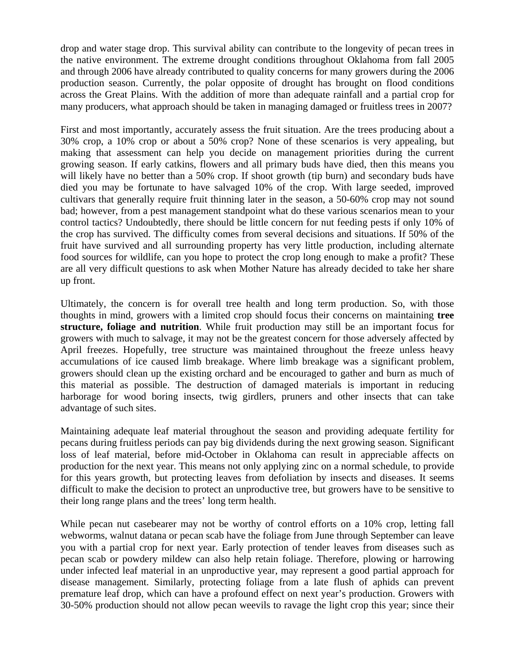drop and water stage drop. This survival ability can contribute to the longevity of pecan trees in the native environment. The extreme drought conditions throughout Oklahoma from fall 2005 and through 2006 have already contributed to quality concerns for many growers during the 2006 production season. Currently, the polar opposite of drought has brought on flood conditions across the Great Plains. With the addition of more than adequate rainfall and a partial crop for many producers, what approach should be taken in managing damaged or fruitless trees in 2007?

First and most importantly, accurately assess the fruit situation. Are the trees producing about a 30% crop, a 10% crop or about a 50% crop? None of these scenarios is very appealing, but making that assessment can help you decide on management priorities during the current growing season. If early catkins, flowers and all primary buds have died, then this means you will likely have no better than a 50% crop. If shoot growth (tip burn) and secondary buds have died you may be fortunate to have salvaged 10% of the crop. With large seeded, improved cultivars that generally require fruit thinning later in the season, a 50-60% crop may not sound bad; however, from a pest management standpoint what do these various scenarios mean to your control tactics? Undoubtedly, there should be little concern for nut feeding pests if only 10% of the crop has survived. The difficulty comes from several decisions and situations. If 50% of the fruit have survived and all surrounding property has very little production, including alternate food sources for wildlife, can you hope to protect the crop long enough to make a profit? These are all very difficult questions to ask when Mother Nature has already decided to take her share up front.

Ultimately, the concern is for overall tree health and long term production. So, with those thoughts in mind, growers with a limited crop should focus their concerns on maintaining **tree structure, foliage and nutrition**. While fruit production may still be an important focus for growers with much to salvage, it may not be the greatest concern for those adversely affected by April freezes. Hopefully, tree structure was maintained throughout the freeze unless heavy accumulations of ice caused limb breakage. Where limb breakage was a significant problem, growers should clean up the existing orchard and be encouraged to gather and burn as much of this material as possible. The destruction of damaged materials is important in reducing harborage for wood boring insects, twig girdlers, pruners and other insects that can take advantage of such sites.

Maintaining adequate leaf material throughout the season and providing adequate fertility for pecans during fruitless periods can pay big dividends during the next growing season. Significant loss of leaf material, before mid-October in Oklahoma can result in appreciable affects on production for the next year. This means not only applying zinc on a normal schedule, to provide for this years growth, but protecting leaves from defoliation by insects and diseases. It seems difficult to make the decision to protect an unproductive tree, but growers have to be sensitive to their long range plans and the trees' long term health.

While pecan nut casebearer may not be worthy of control efforts on a 10% crop, letting fall webworms, walnut datana or pecan scab have the foliage from June through September can leave you with a partial crop for next year. Early protection of tender leaves from diseases such as pecan scab or powdery mildew can also help retain foliage. Therefore, plowing or harrowing under infected leaf material in an unproductive year, may represent a good partial approach for disease management. Similarly, protecting foliage from a late flush of aphids can prevent premature leaf drop, which can have a profound effect on next year's production. Growers with 30-50% production should not allow pecan weevils to ravage the light crop this year; since their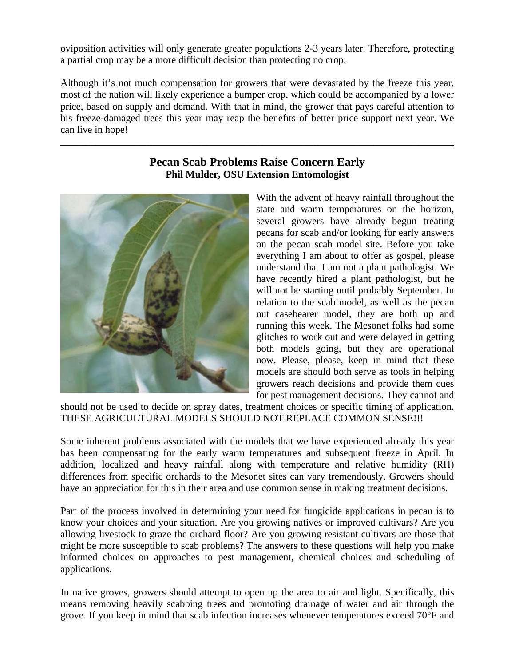oviposition activities will only generate greater populations 2-3 years later. Therefore, protecting a partial crop may be a more difficult decision than protecting no crop.

Although it's not much compensation for growers that were devastated by the freeze this year, most of the nation will likely experience a bumper crop, which could be accompanied by a lower price, based on supply and demand. With that in mind, the grower that pays careful attention to his freeze-damaged trees this year may reap the benefits of better price support next year. We can live in hope!

## **Pecan Scab Problems Raise Concern Early Phil Mulder, OSU Extension Entomologist**

\_\_\_\_\_\_\_\_\_\_\_\_\_\_\_\_\_\_\_\_\_\_\_\_\_\_\_\_\_\_\_\_\_\_\_\_\_\_\_\_\_\_\_\_\_\_\_\_\_\_\_\_\_\_\_\_\_\_\_\_\_\_\_\_\_\_\_\_\_\_\_\_\_\_\_\_\_\_



With the advent of heavy rainfall throughout the state and warm temperatures on the horizon, several growers have already begun treating pecans for scab and/or looking for early answers on the pecan scab model site. Before you take everything I am about to offer as gospel, please understand that I am not a plant pathologist. We have recently hired a plant pathologist, but he will not be starting until probably September. In relation to the scab model, as well as the pecan nut casebearer model, they are both up and running this week. The Mesonet folks had some glitches to work out and were delayed in getting both models going, but they are operational now. Please, please, keep in mind that these models are should both serve as tools in helping growers reach decisions and provide them cues for pest management decisions. They cannot and

should not be used to decide on spray dates, treatment choices or specific timing of application. THESE AGRICULTURAL MODELS SHOULD NOT REPLACE COMMON SENSE!!!

Some inherent problems associated with the models that we have experienced already this year has been compensating for the early warm temperatures and subsequent freeze in April. In addition, localized and heavy rainfall along with temperature and relative humidity (RH) differences from specific orchards to the Mesonet sites can vary tremendously. Growers should have an appreciation for this in their area and use common sense in making treatment decisions.

Part of the process involved in determining your need for fungicide applications in pecan is to know your choices and your situation. Are you growing natives or improved cultivars? Are you allowing livestock to graze the orchard floor? Are you growing resistant cultivars are those that might be more susceptible to scab problems? The answers to these questions will help you make informed choices on approaches to pest management, chemical choices and scheduling of applications.

In native groves, growers should attempt to open up the area to air and light. Specifically, this means removing heavily scabbing trees and promoting drainage of water and air through the grove. If you keep in mind that scab infection increases whenever temperatures exceed 70°F and